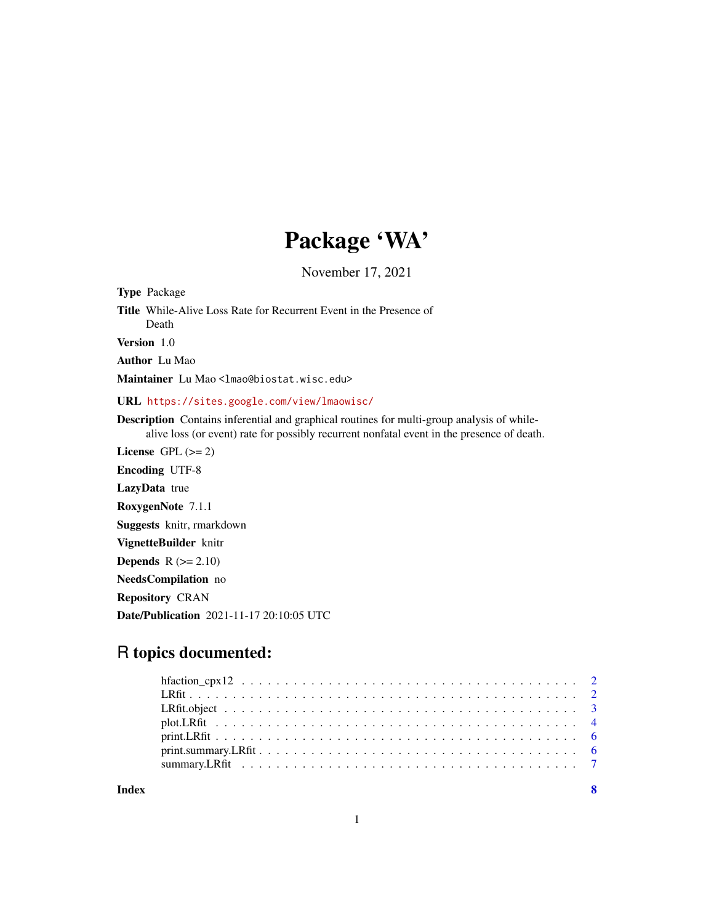## Package 'WA'

November 17, 2021

Type Package

Title While-Alive Loss Rate for Recurrent Event in the Presence of Death

Version 1.0

Author Lu Mao

Maintainer Lu Mao <lmao@biostat.wisc.edu>

URL <https://sites.google.com/view/lmaowisc/>

Description Contains inferential and graphical routines for multi-group analysis of whilealive loss (or event) rate for possibly recurrent nonfatal event in the presence of death.

License GPL  $(>= 2)$ 

Encoding UTF-8 LazyData true

RoxygenNote 7.1.1

Suggests knitr, rmarkdown

VignetteBuilder knitr

**Depends**  $R$  ( $>= 2.10$ )

NeedsCompilation no

Repository CRAN

Date/Publication 2021-11-17 20:10:05 UTC

### R topics documented:

**Index** [8](#page-7-0) **8**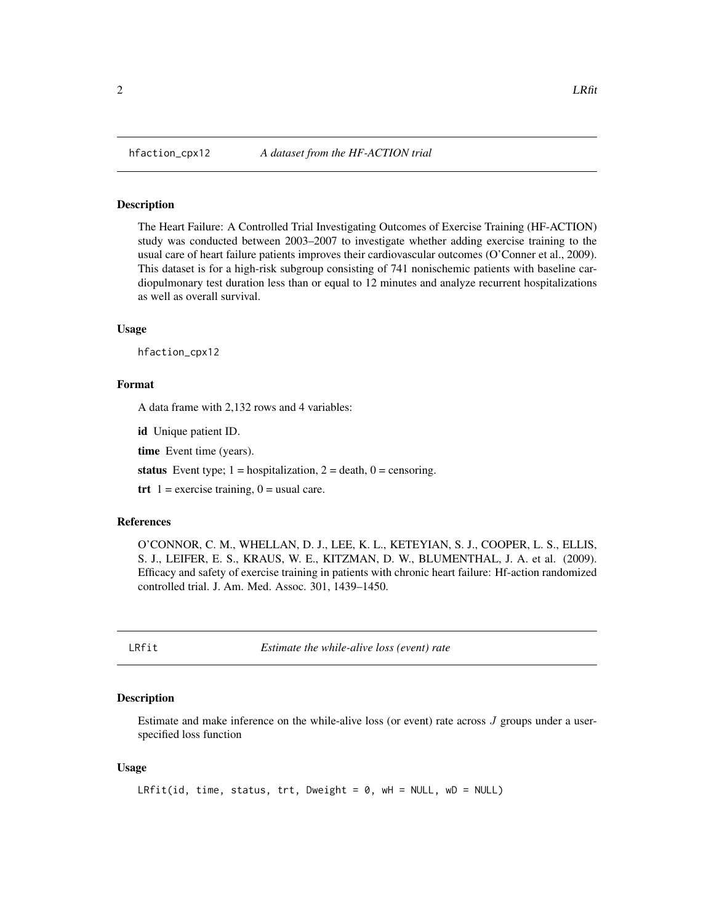<span id="page-1-0"></span>

#### **Description**

The Heart Failure: A Controlled Trial Investigating Outcomes of Exercise Training (HF-ACTION) study was conducted between 2003–2007 to investigate whether adding exercise training to the usual care of heart failure patients improves their cardiovascular outcomes (O'Conner et al., 2009). This dataset is for a high-risk subgroup consisting of 741 nonischemic patients with baseline cardiopulmonary test duration less than or equal to 12 minutes and analyze recurrent hospitalizations as well as overall survival.

#### Usage

hfaction\_cpx12

#### Format

A data frame with 2,132 rows and 4 variables:

id Unique patient ID.

time Event time (years).

status Event type;  $1 =$  hospitalization,  $2 =$  death,  $0 =$  censoring.

trt  $1 =$  exercise training,  $0 =$  usual care.

#### References

O'CONNOR, C. M., WHELLAN, D. J., LEE, K. L., KETEYIAN, S. J., COOPER, L. S., ELLIS, S. J., LEIFER, E. S., KRAUS, W. E., KITZMAN, D. W., BLUMENTHAL, J. A. et al. (2009). Efficacy and safety of exercise training in patients with chronic heart failure: Hf-action randomized controlled trial. J. Am. Med. Assoc. 301, 1439–1450.

<span id="page-1-1"></span>LRfit *Estimate the while-alive loss (event) rate*

#### Description

Estimate and make inference on the while-alive loss (or event) rate across  $J$  groups under a userspecified loss function

#### Usage

```
LRfit(id, time, status, trt, Dweight = 0, wH = NULL, wD = NULL)
```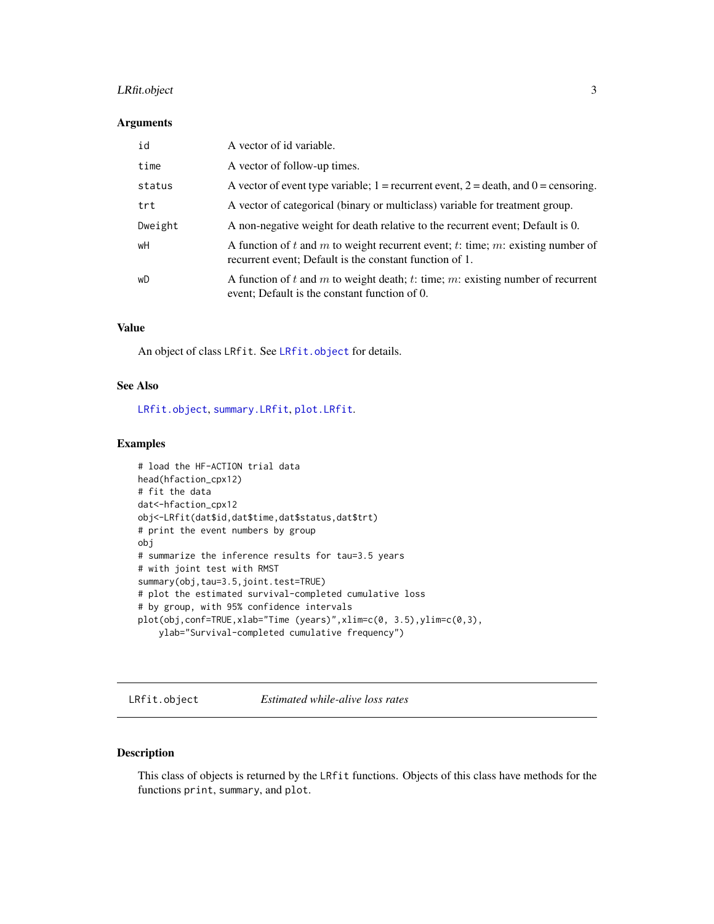#### <span id="page-2-0"></span>LRfit.object 3

#### Arguments

| id      | A vector of id variable.                                                                                                                   |
|---------|--------------------------------------------------------------------------------------------------------------------------------------------|
| time    | A vector of follow-up times.                                                                                                               |
| status  | A vector of event type variable; $1 =$ recurrent event, $2 =$ death, and $0 =$ censoring.                                                  |
| trt     | A vector of categorical (binary or multiclass) variable for treatment group.                                                               |
| Dweight | A non-negative weight for death relative to the recurrent event; Default is 0.                                                             |
| wH      | A function of t and m to weight recurrent event; t: time; m: existing number of<br>recurrent event; Default is the constant function of 1. |
| wD      | A function of $t$ and $m$ to weight death; $t$ : time; $m$ : existing number of recurrent<br>event; Default is the constant function of 0. |

#### Value

An object of class LRfit. See [LRfit.object](#page-2-1) for details.

#### See Also

[LRfit.object](#page-2-1), [summary.LRfit](#page-6-1), [plot.LRfit](#page-3-1).

#### Examples

```
# load the HF-ACTION trial data
head(hfaction_cpx12)
# fit the data
dat<-hfaction_cpx12
obj<-LRfit(dat$id,dat$time,dat$status,dat$trt)
# print the event numbers by group
obj
# summarize the inference results for tau=3.5 years
# with joint test with RMST
summary(obj,tau=3.5,joint.test=TRUE)
# plot the estimated survival-completed cumulative loss
# by group, with 95% confidence intervals
plot(obj,conf=TRUE,xlab="Time (years)",xlim=c(0, 3.5),ylim=c(0,3),
    ylab="Survival-completed cumulative frequency")
```
<span id="page-2-1"></span>LRfit.object *Estimated while-alive loss rates*

#### Description

This class of objects is returned by the LRfit functions. Objects of this class have methods for the functions print, summary, and plot.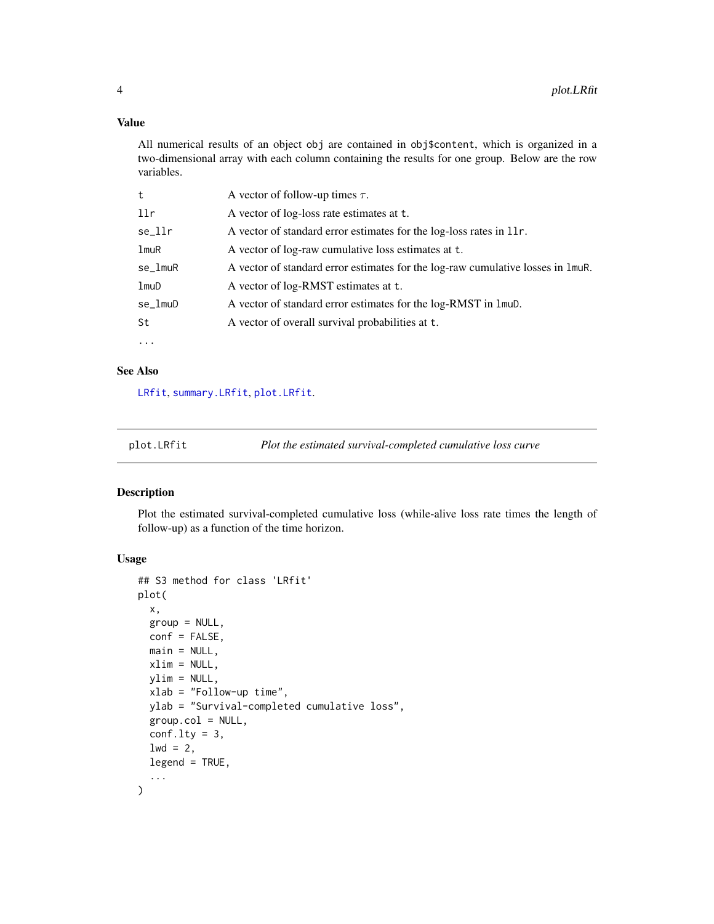#### <span id="page-3-0"></span>Value

All numerical results of an object obj are contained in obj\$content, which is organized in a two-dimensional array with each column containing the results for one group. Below are the row variables.

| t        | A vector of follow-up times $\tau$ .                                                             |
|----------|--------------------------------------------------------------------------------------------------|
| llr      | A vector of log-loss rate estimates at t.                                                        |
| se_llr   | A vector of standard error estimates for the log-loss rates in 11r.                              |
| lmuR     | A vector of log-raw cumulative loss estimates at t.                                              |
| se_lmuR  | A vector of standard error estimates for the log-raw cumulative losses in $\text{Im}u\text{R}$ . |
| lmuD     | A vector of log-RMST estimates at t.                                                             |
| se_lmuD  | A vector of standard error estimates for the log-RMST in 1 mub.                                  |
| St       | A vector of overall survival probabilities at t.                                                 |
| $\cdots$ |                                                                                                  |

#### See Also

[LRfit](#page-1-1), [summary.LRfit](#page-6-1), [plot.LRfit](#page-3-1).

<span id="page-3-1"></span>

plot.LRfit *Plot the estimated survival-completed cumulative loss curve*

#### Description

Plot the estimated survival-completed cumulative loss (while-alive loss rate times the length of follow-up) as a function of the time horizon.

#### Usage

```
## S3 method for class 'LRfit'
plot(
  x,
  group = NULL,
  conf = FALSE,
 main = NULL,xlim = NULL,ylim = NULL,
  xlab = "Follow-up time",
 ylab = "Survival-completed cumulative loss",
  group.col = NULL,conf.lty = 3,
  1wd = 2,
  legend = TRUE,
  ...
)
```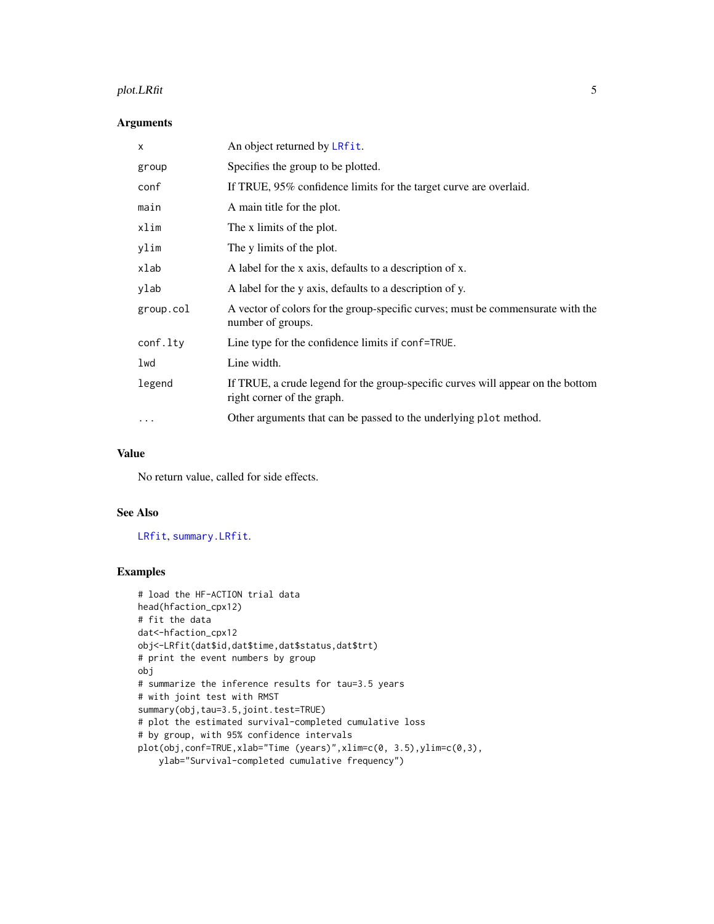#### plot. LRfit 5

#### Arguments

| X         | An object returned by LRfit.                                                                                  |
|-----------|---------------------------------------------------------------------------------------------------------------|
| group     | Specifies the group to be plotted.                                                                            |
| conf      | If TRUE, 95% confidence limits for the target curve are overlaid.                                             |
| main      | A main title for the plot.                                                                                    |
| xlim      | The x limits of the plot.                                                                                     |
| ylim      | The y limits of the plot.                                                                                     |
| xlab      | A label for the x axis, defaults to a description of x.                                                       |
| ylab      | A label for the y axis, defaults to a description of y.                                                       |
| group.col | A vector of colors for the group-specific curves; must be commensurate with the<br>number of groups.          |
| conf.lty  | Line type for the confidence limits if conf=TRUE.                                                             |
| lwd       | Line width.                                                                                                   |
| legend    | If TRUE, a crude legend for the group-specific curves will appear on the bottom<br>right corner of the graph. |
| $\cdots$  | Other arguments that can be passed to the underlying plot method.                                             |
|           |                                                                                                               |

#### Value

No return value, called for side effects.

#### See Also

[LRfit](#page-1-1), [summary.LRfit](#page-6-1).

#### Examples

```
# load the HF-ACTION trial data
head(hfaction_cpx12)
# fit the data
dat<-hfaction_cpx12
obj<-LRfit(dat$id,dat$time,dat$status,dat$trt)
# print the event numbers by group
obj
# summarize the inference results for tau=3.5 years
# with joint test with RMST
summary(obj,tau=3.5,joint.test=TRUE)
# plot the estimated survival-completed cumulative loss
# by group, with 95% confidence intervals
plot(obj,conf=TRUE,xlab="Time (years)",xlim=c(0, 3.5),ylim=c(0,3),
   ylab="Survival-completed cumulative frequency")
```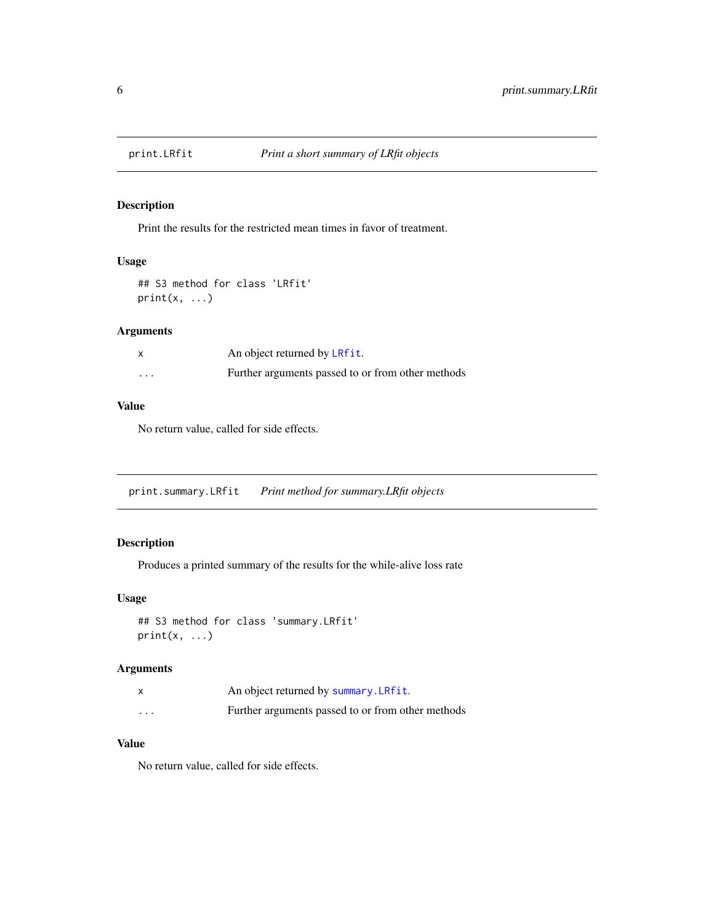<span id="page-5-0"></span>

#### Description

Print the results for the restricted mean times in favor of treatment.

#### Usage

```
## S3 method for class 'LRfit'
print(x, \ldots)
```
#### Arguments

| X        | An object returned by LRfit.                      |
|----------|---------------------------------------------------|
| $\cdots$ | Further arguments passed to or from other methods |

#### Value

No return value, called for side effects.

print.summary.LRfit *Print method for summary.LRfit objects*

#### Description

Produces a printed summary of the results for the while-alive loss rate

#### Usage

```
## S3 method for class 'summary.LRfit'
print(x, \ldots)
```
#### Arguments

|                      | An object returned by summary. LRfit.             |
|----------------------|---------------------------------------------------|
| $\ddot{\phantom{0}}$ | Further arguments passed to or from other methods |

#### Value

No return value, called for side effects.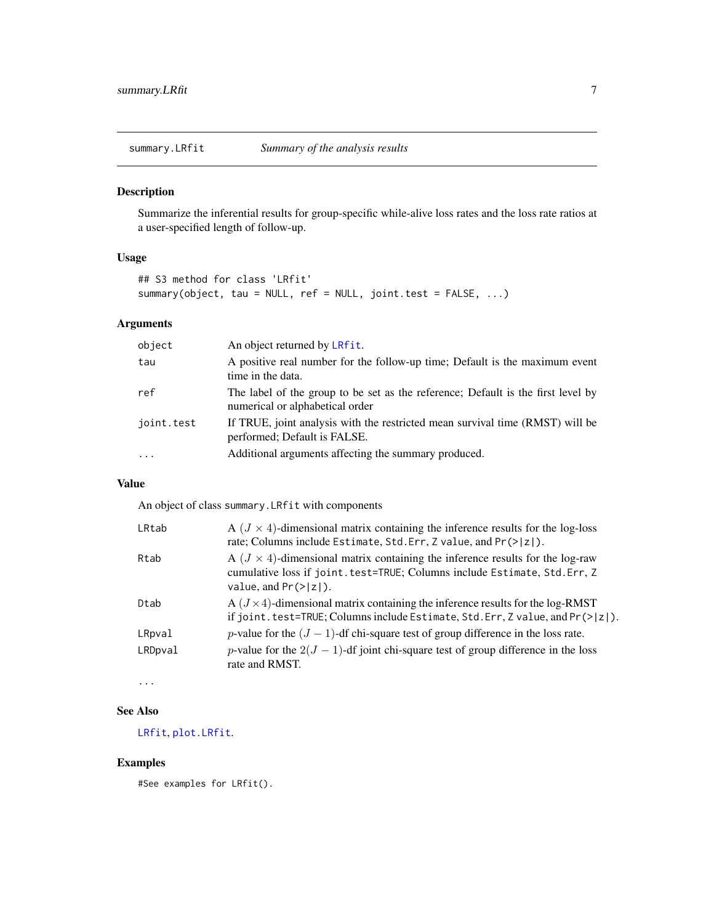<span id="page-6-1"></span><span id="page-6-0"></span>summary.LRfit *Summary of the analysis results*

#### Description

Summarize the inferential results for group-specific while-alive loss rates and the loss rate ratios at a user-specified length of follow-up.

#### Usage

```
## S3 method for class 'LRfit'
summary(object, tau = NULL, ref = NULL, joint.test = FALSE, ...)
```
#### Arguments

| object     | An object returned by LRfit.                                                                                        |
|------------|---------------------------------------------------------------------------------------------------------------------|
| tau        | A positive real number for the follow-up time; Default is the maximum event<br>time in the data.                    |
| ref        | The label of the group to be set as the reference; Default is the first level by<br>numerical or alphabetical order |
| joint.test | If TRUE, joint analysis with the restricted mean survival time (RMST) will be<br>performed; Default is FALSE.       |
| $\cdot$    | Additional arguments affecting the summary produced.                                                                |

#### Value

An object of class summary.LRfit with components

| LRtab   | A $(J \times 4)$ -dimensional matrix containing the inference results for the log-loss<br>rate; Columns include Estimate, Std. Err, Z value, and Pr(> z ).                                             |
|---------|--------------------------------------------------------------------------------------------------------------------------------------------------------------------------------------------------------|
| Rtab    | A $(J \times 4)$ -dimensional matrix containing the inference results for the log-raw<br>cumulative loss if joint.test=TRUE; Columns include Estimate, Std.Err, Z<br>value, and $Pr(>\vert z \vert)$ . |
| Dtab    | $A (J \times 4)$ -dimensional matrix containing the inference results for the log-RMST<br>if joint.test=TRUE; Columns include Estimate, Std.Err, Z value, and Pr(> z ).                                |
| LRpval  | p-value for the $(J - 1)$ -df chi-square test of group difference in the loss rate.                                                                                                                    |
| LRDpval | <i>p</i> -value for the $2(J - 1)$ -df joint chi-square test of group difference in the loss<br>rate and RMST.                                                                                         |

...

#### See Also

[LRfit](#page-1-1), [plot.LRfit](#page-3-1).

#### Examples

#See examples for LRfit().